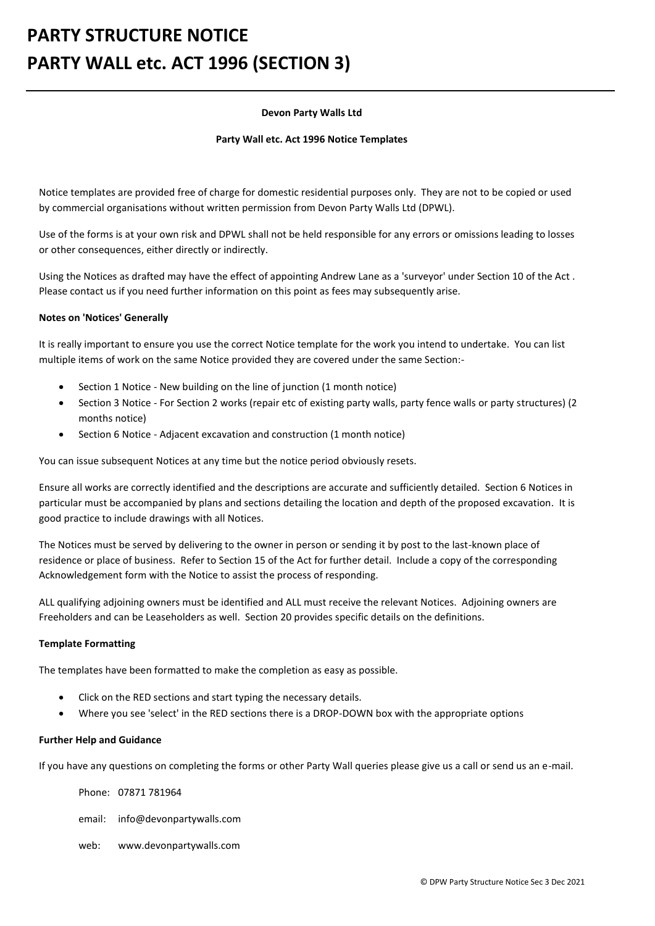# **PARTY STRUCTURE NOTICE PARTY WALL etc. ACT 1996 (SECTION 3)**

### **Devon Party Walls Ltd**

#### **Party Wall etc. Act 1996 Notice Templates**

Notice templates are provided free of charge for domestic residential purposes only. They are not to be copied or used by commercial organisations without written permission from Devon Party Walls Ltd (DPWL).

Use of the forms is at your own risk and DPWL shall not be held responsible for any errors or omissions leading to losses or other consequences, either directly or indirectly.

Using the Notices as drafted may have the effect of appointing Andrew Lane as a 'surveyor' under Section 10 of the Act . Please contact us if you need further information on this point as fees may subsequently arise.

### **Notes on 'Notices' Generally**

It is really important to ensure you use the correct Notice template for the work you intend to undertake. You can list multiple items of work on the same Notice provided they are covered under the same Section:-

- Section 1 Notice New building on the line of junction (1 month notice)
- Section 3 Notice For Section 2 works (repair etc of existing party walls, party fence walls or party structures) (2 months notice)
- Section 6 Notice Adjacent excavation and construction (1 month notice)

You can issue subsequent Notices at any time but the notice period obviously resets.

Ensure all works are correctly identified and the descriptions are accurate and sufficiently detailed. Section 6 Notices in particular must be accompanied by plans and sections detailing the location and depth of the proposed excavation. It is good practice to include drawings with all Notices.

The Notices must be served by delivering to the owner in person or sending it by post to the last-known place of residence or place of business. Refer to Section 15 of the Act for further detail. Include a copy of the corresponding Acknowledgement form with the Notice to assist the process of responding.

ALL qualifying adjoining owners must be identified and ALL must receive the relevant Notices. Adjoining owners are Freeholders and can be Leaseholders as well. Section 20 provides specific details on the definitions.

### **Template Formatting**

The templates have been formatted to make the completion as easy as possible.

- Click on the RED sections and start typing the necessary details.
- Where you see 'select' in the RED sections there is a DROP-DOWN box with the appropriate options

#### **Further Help and Guidance**

If you have any questions on completing the forms or other Party Wall queries please give us a call or send us an e-mail.

Phone: 07871 781964

email: info@devonpartywalls.com

web: www.devonpartywalls.com